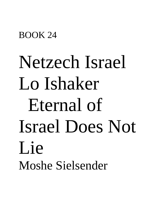#### BOOK 24

# Netzech Israel Lo Ishaker Eternal of Israel Does Not Lie Moshe Sielsender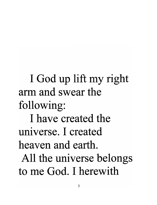I God up lift my right arm and swear the following: I have created the universe. I created heaven and earth. All the universe belongs to me God. I herewith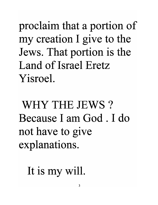proclaim that a portion of my creation I give to the Jews. That portion is the Land of Israel Eretz Yisroel.

WHY THE JEWS? Because I am God . I do not have to give explanations.

It is my will.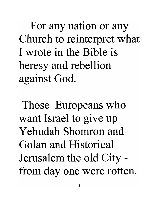For any nation or any Church to reinterpret what I wrote in the Bible is heresy and rebellion against God.

Those Europeans who want Israel to give up Yehudah Shomron and Golan and Historical Jerusalem the old City from day one were rotten.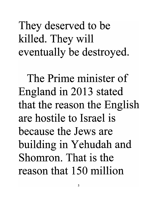They deserved to be killed. They will eventually be destroyed.

The Prime minister of England in 2013 stated that the reason the English are hostile to Israel is because the Jews are building in Yehudah and Shomron. That is the reason that 150 million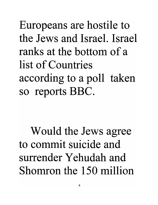Europeans are hostile to the Jews and Israel. Israel ranks at the bottom of a list of Countries according to a poll taken so reports BBC.

Would the Jews agree to commit suicide and surrender Yehudah and Shomron the 150 million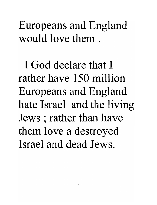Europeans and England would love them .

I God declare that I rather have 150 million Europeans and England hate Israel and the living Jews; rather than have them love a destroyed Israel and dead Jews.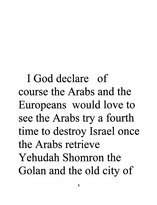I God declare of course the Arabs and the Europeans would love to see the Arabs try a fourth time to destroy Israel once the Arabs retrieve Yehudah Shomron the Golan and the old city of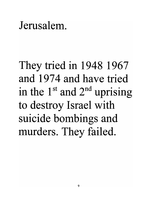#### Jerusalem.

They tried in 1948 1967 and 1974 and have tried in the  $1<sup>st</sup>$  and  $2<sup>nd</sup>$  uprising to destroy Israel with suicide bombings and murders. They failed.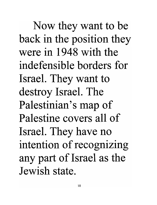Now they want to be back in the position they were in 1948 with the indefensible borders for Israel. They want to destroy Israel. The Palestinian's map of Palestine covers all of Israel. They have no intention of recognizing any part of Israel as the Jewish state.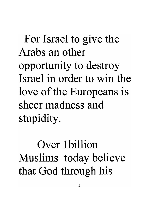For Israel to give the Arabs an other opportunity to destroy Israel in order to win the love of the Europeans is sheer madness and stupidity.

Over 1 billion Muslims today believe that God through his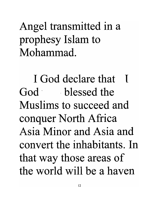Angel transmitted in a prophesy Islam to Mohammad.

I God declare that I God blessed the Muslims to succeed and conquer North Africa Asia Minor and Asia and convert the inhabitants. In that way those areas of the world will be a haven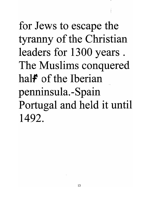for Jews to escape the tyranny of the Christian leaders for 1300 years . The Muslims conquered hal*f* of the Iberian penninsula. -Spain Portugal and held it until 1492.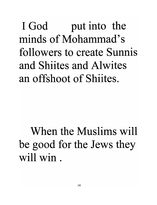I God but into the minds of Mohammad's followers to create Sunnis and Shiites and Alwites an offshoot of Shiites.

When the Muslims will be good for the Jews they will win.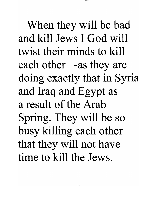When they will be bad and kill Jews I God will twist their minds to kill each other -as they are doing exactly that in Syria and Iraq and Egypt as a result of the Arab Spring. They will be so busy killing each other that they will not have time to kill the Jews.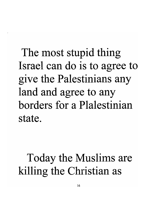The most stupid thing Israel can do is to agree to give the Palestinians any land and agree to any borders for a Plalestinian state.

#### Today the Muslims are killing the Christian as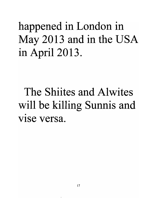happened in London in May 2013 and in the USA in April 2013.

The Shiites and Alwites will be killing Sunnis and vise versa.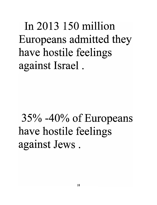In 2013 150 million Europeans admitted they have hostile feelings against Israel .

## 35% -40% of Europeans have hostile feelings against Jews .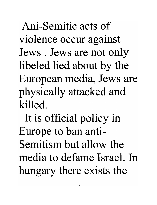Ani-Semitic acts of violence occur against Jews. Jews are not only libeled lied about by the European media, Jews are physically attacked and killed.

It is official policy in Europe to ban anti-Semitism but allow the media to defame Israel. In hungary there exists the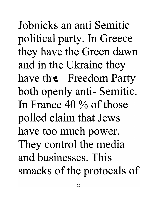Jobnicks an anti Semitic political party. In Greece they have the Green dawn and in the Ukraine they have the Freedom Party both openly anti- Semitic. In France 40 % of those polled claim that Jews have too much power. They control the media and businesses. This smacks of the protocals of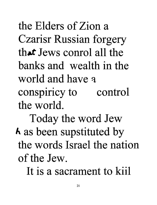the Elders of Zion a Czarisr Russian forgery that Jews conrol all the banks and wealth in the world and have a conspiricy to the world. control

Today the word Jew h as been supstituted by the words Israel the nation of the Jew.

It is a sacrament to kiil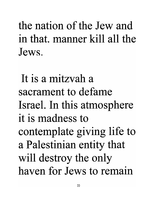the nation of the Jew and in that. manner kill all the Jews.

It is a mitzvah a sacrament to defame Israel. In this atmosphere it is madness to contemplate giving life to a Palestinian entity that will destroy the only haven for Jews to remain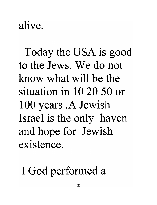### alive.

Today the USA is good to the Jews. We do not know what will be the situation in 10 20 50 or 100 years .A Jewish Israel is the only haven and hope for Jewish existence.

I God performed a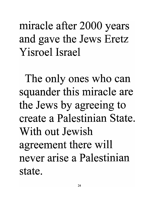miracle after 2000 years and gave the Jews Eretz Yisroel Israel

The only ones who can squander this miracle are the Jews by agreeing to create a Palestinian State. With out Jewish agreement there will never arise a Palestinian state.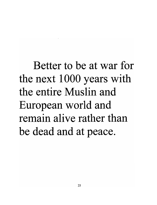Better to be at war for the next 1000 years with the entire Muslin and European world and remain alive rather than be dead and at peace.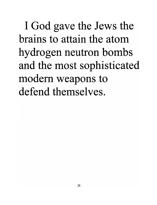I God gave the Jews the brains to attain the atom hydrogen neutron bombs and the most sophisticated modern weapons to defend themselves.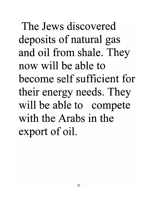The Jews discovered deposits of natural gas and oil from shale. They now will be able to become self sufficient for their energy needs. They will be able to compete with the Arabs in the export of oil.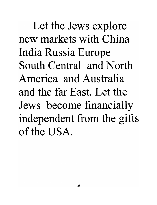Let the Jews explore new markets with China India Russia Europe South Central and North America and Australia and the far East. Let the Jews become financially independent from the gifts of the USA.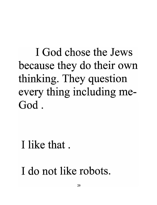I God chose the Jews because they do their own thinking. They question every thing including me-God.

I like that.

I do not like robots.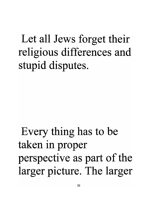### Let all Jews forget their religious differences and stupid disputes.

Every thing has to be taken in proper perspective as part of the larger picture. The larger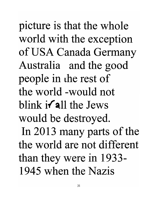picture is that the whole world with the exception of USA Canada Germany Australia and the good people in the rest of the world -would not blink  $i$  all the Jews would be destroyed. In 2013 many parts of the the world are not different than they were in 1933- 1945 when the Nazis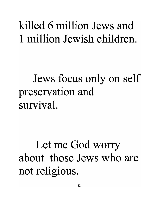#### killed 6 million Jews and 1 million Jewish children.

### Jews focus only on self preservation and survival.

### Let me God worry about those Jews who are not religious.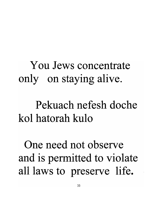### You Jews concentrate only on staying alive.

#### Pekuach nefesh doche kol hatorah kulo

One need not observe and is permitted to violate all laws to preserve life.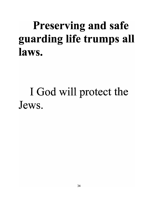### Preserving and safe guarding life trumps all laws.

#### I God will protect the Jews.